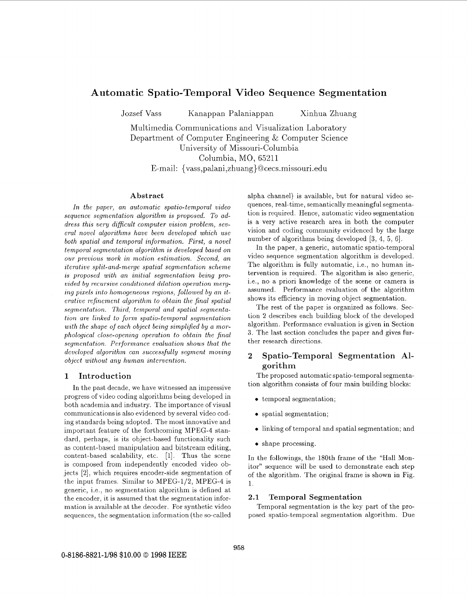# Automatic Spatio-Temporal Video Sequence Segmentation

Jozsef Vass Kanappan Palaniappan Xinhua Zhuang

Multimedia Communications and Visualization Laboratory Department of Computer Engineering & Computer Science University of Missouri-Columbia Columbia, MO, 65211 E-mail: { vass ,palani ,zhuang} *@cecs* .missouri .edu

#### Abstract

*In the paper, an automatic spatio-temporal video sequence segmentation algorithm is proposed. To ad*dress this very difficult computer vision problem, sev*eral novel algorithms have been developed which use both spatial and temporal information. First, a novel temporal segmentation algorithm is developed based on our previous work in motion estimation. Second, an iterative split-and-merge spatial segmentation scheme is proposed with an initial segmentation being provided by recursive conditioned dilation operation merging pixels into homogeneous regions, followed by an iterative refinement algorithm to obtain the final spatial segmentation. Third, temporal and spatial segmentation are linked to form spatio-temporal segmentation with the shape of each object being simplified by a morphological close-opening operation to obtain the final segmentation. Performance evaluation shows that the developed algorithm can successfully segment moving object without any human intervention.* 

## 1 Introduction

In the past decade, we have witnessed an impressive progress of video coding algorithms being developed in both academia and industry. The importance of visual communications is also evidenced by several video coding standards being adopted. The most innovative and important feature of the forthcoming MPEG-4 standard, perhaps, is its object-based functionality such as content-based manipulation and bitstream editing, content-based scalability, etc. [l]. Thus the scene is composed from independently encoded video objects *[a],* which requires encoder-side segmentation of the input frames. Similar to MPEG-1/2, MPEG-4 is generic, Le., no segmentation algorithm is defined at the encoder, it is assumed that the segmentation information is available at the decoder. For synthetic video sequences, the segmentation information (the so-called

alpha channel) is available, but for natural video sequences, real-time, semantically meaningful segmentation is required. Hence, automatic video segmentation is a very active research area in both the computer vision and coding community evidenced by the large number of algorithms being developed **[3, 4,** 5, 61.

In the paper, a generic, automatic spatio-temporal video sequence segmentation algorithm is developed. The algorithm is fully automatic, i.e., no human intervention is required. The algorithm is also generic, i.e., no a priori knowledge of the scene or camera is assumed. Performance evaluation of the algorithm shows its efficiency in moving object segmentation.

The rest of the paper is organized as follows. Section 2 describes each building block of the developed algorithm. Performance evaluation is given in Section **3.** The last section concludes the paper and gives further research directions.

## 2 Spatio-Temporal Segmentation Algorithm

The proposed automatic spatio-temporal segmentation algorithm consists of four main building blocks:

- *0* temporal segmentation;
- *0* spatial segmentation;
- *0* linking of temporal and spatial segmentation; and
- shape processing.

In the followings, the 180th frame of the "Hall Monitor" sequence will be used to demonstrate each step of the algorithm. The original frame is shown in Fig. 1.

#### 2.1 Temporal Segmentation

Temporal segmentation is the key part of the proposed spatio-temporal segmentation algorithm. Due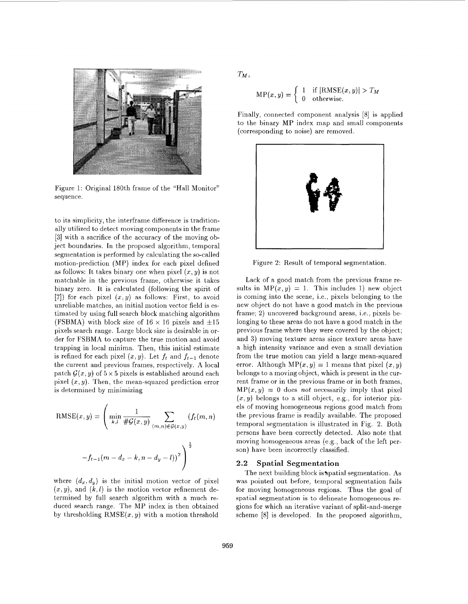

Figure 1: Original 180th frame of the "Hall Monitor" sequence.

to its simplicity, the interframe difference is traditionally utilized to detect moving components in the frame **[3]** with a sacrifice of the accuracy of the moving object boundaries. In the proposed algorithm, temporal segmentation is performed by calculating the so-called motion-prediction (MP) index for each pixel defined as follows: It takes binary one when pixel  $(x, y)$  is not matchable in the previous frame, otherwise it takes binary zero. It is calculated (following the spirit of [7]) for each pixel  $(x, y)$  as follows: First, to avoid unreliable matches, an initial motion vector field is estimated by using full search block matching algorithm (FSBMA) with block size of  $16 \times 16$  pixels and  $\pm 15$ pixels search range. Large block size is desirable in order for FSBMA to capture the true motion and avoid trapping in local minima. Then, this initial estimate is refined for each pixel  $(x, y)$ . Let  $f_t$  and  $f_{t-1}$  denote the current and previous frames, respectively. A local patch  $G(x, y)$  of  $5 \times 5$  pixels is established around each pixel  $(x, y)$ . Then, the mean-squared prediction error is determined by minimizing

RMSE
$$
(x, y)
$$
 =  $\left( \min_{k,l} \frac{1}{\#G(x, y)} \sum_{(m,n) \in G(x,y)} (f_t(m, n)) \right)$   
- $f_{t-1}(m - d_x - k, n - d_y - l))^2$ 

where  $(d_x, d_y)$  is the initial motion vector of pixel  $(x, y)$ , and  $(k, l)$  is the motion vector refinement determined by full search algorithm with a much reduced search range. The MP index is then obtained by thresholding  $RMSE(x, y)$  with a motion threshold  $T_M$ ,

$$
MP(x, y) = \begin{cases} 1 & \text{if } |RMSE(x, y)| > T_M \\ 0 & \text{otherwise.} \end{cases}
$$

Finally, connected component analysis [8] is applied to the binary MP index map and small components (corresponding to noise) are removed.



Figure 2: Result of temporal segmentation

Lack of a good match from the previous frame results in  $MP(x, y) = 1$ . This includes 1) new object is coming into the scene, i.e., pixels belonging to the new object do not have a good match in the previous frame; **2)** uncovered background areas, i.e., pixels belonging to these areas do not have a good match in the previous frame where they were covered by the object; and **3)** moving texture areas since texture areas have a high intensity variance and even a small deviation from the true motion can yield a large mean-squared error. Although  $MP(x, y) = 1$  means that pixel  $(x, y)$ belongs to a moving object, which is present in the current frame or in the previous frame or in both frames,  $MP(x, y) = 0$  does *not* necessarily imply that pixel  $(x, y)$  belongs to a still object, e.g., for interior pixels of moving homogeneous regions good match from the previous frame is readily available. The proposed temporal segmentation is illustrated in Fig. 2. Both persons have been correctly detected. Also note that moving homogeneous areas (e.g., back of the left person) have been incorrectly classified.

### **2.2** Spatial Segmentation

The next building block is spatial segmentation. As was pointed out before, temporal segmentation fails for moving homogeneous regions. Thus the goal of spatial segmentation is to delineate homogeneous regions for which an iterative variant of split-and-merge scheme [8] is developed. In the proposed algorithm,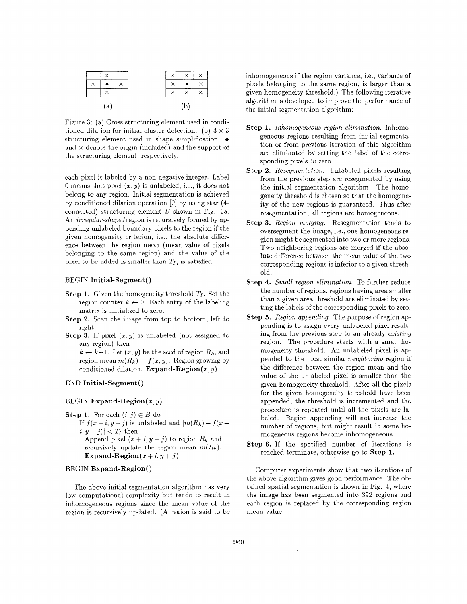

Figure **3:** (a) Cross structuring element used in conditioned dilation for initial cluster detection. (b)  $3 \times 3$ structuring element used in shape simplification.  $\bullet$ and  $\times$  denote the origin (included) and the support of the structuring element, respectively.

each pixel is labeled by a non-negative integer. Label 0 means that pixel  $(x, y)$  is unlabeled, i.e., it does not belong to any region. Initial segmentation is achieved by conditioned dilation operation [9] by using star (4 connected) structuring element *B* shown in Fig. 3a. An *irregular-shaped* region is recursively formed by appending unlabeled boundary pixels to the region if the given homogeneity criterion, i.e., the absolute difference between the region mean (mean value of pixels belonging to the same region) and the value of the pixel to be added is smaller than  $T_I$ , is satisfied:

#### BEGIN **Initial-Segment**()

- **Step 1.** Given the homogeneity threshold  $T_I$ . Set the region counter  $k \leftarrow 0$ . Each entry of the labeling matrix is initialized to zero.
- **Step 2.** Scan the image from top to bottom, left to right.
- **Step 3.** If pixel  $(x, y)$  is unlabeled (not assigned to any region) then

 $k \leftarrow k+1$ . Let  $(x, y)$  be the seed of region  $R_k$ , and region mean  $m(R_k) = f(x, y)$ . Region growing by conditioned dilation. **Expand-Region(z,** y)

## END **Initial-Segment** ()

### BEGIN **Expand-Region(x,** y)

**Step 1.** For each  $(i, j) \in B$  do If  $f(x + i, y + j)$  is unlabeled and  $|m(R_k) - f(x + j)|$  $|i, y + j\rangle$  <  $T_I$  then Append pixel  $(x + i, y + j)$  to region  $R_k$  and recursively update the region mean  $m(R_k)$ . Expand-Region $(x + i, y + j)$ 

#### BEGIN **Expand-Region()**

The above initial segmentation algorithm has very low computational complexity but tends to result in inhomogeneous regions since the mean value of the region is recursively updated. **(A** region is said to be

inhomogeneous if the region variance, i.e., variance of pixels belonging to the same region, is larger than a given homogeneity threshold.) The following iterative algorithm is developed to improve the performance of the initial segmentation algorithm:

- **Step 1.** *Inhomogeneous region elimination.* Inhomogeneous regions resulting from initial segmentation or from previous iteration of this algorithm are eliminated by setting the label of the corresponding pixels to zero.
- **Step 2.** *Resegmentation.* Unlabeled pixels resulting from the previous step are resegmented by using the initial segmentation algorithm. The homogeneity threshold is chosen so that the homogeneity of the new regions is guaranteed. Thus after resegmentation, all regions are homogeneous.
- Step 3. Region merging. Resegmentation tends to oversegment the image, i.e., one homogeneous region might be segmented into two or more regions. Two neighboring regions are merged if the absolute difference between the mean value of the two corresponding regions is inferior to a given threshold.
- **Step 4.** *Small region elimination.* To further reduce the number of regions, regions having area smaller than a given area threshold are eliminated by setting the labels of the corresponding pixels to zero.
- **Step 5.** *Region appending.* The purpose of region appending is to assign every unlabeled pixel resulting from the previous step to an already *exzsting*  region. The procedure starts with a small homogeneity threshold. An unlabeled pixel is appended to the most similar *neighboring* region if the difference between the region mean and the value of the unlabeled pixel is smaller than the given homogeneity threshold. After all the pixels for the given homogeneity threshold have been appended, the threshold is incremented and the procedure is repeated until all the pixels are labeled. Region appending will not increase the number of regions, but might result in some homogeneous regions become inhomogeneous.
- **Step 6.** If the specified number of iterations is reached terminate, otherwise go to **Step 1.**

Computer experiments show that two iterations of the above algorithm gives good performance. The obtained spatial segmentation is shown in Fig. **4,** where the image has been segmented into 392 regions and each region is replaced by the corresponding region mean value.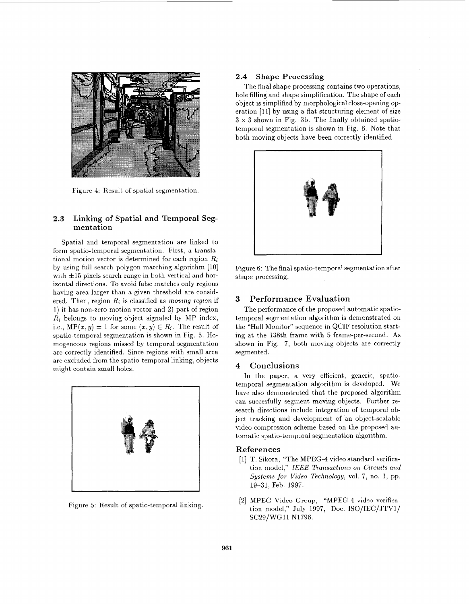

Figure 4: Result of spatial segmentation.

## **2.3 Linking of Spatial and Temporal Segmentat ion**

Spatial and temporal segmentation are linked to form spatio-temporal segmentation. First, a translational motion vector is determined for each region *Ri*  by using full search polygon matching algorithm [10] with  $\pm 15$  pixels search range in both vertical and horizontal directions. To avoid false matches only regions having area larger than a given threshold are considered. Then, region *Ri* is classified as *mowing region* if 1) it has non-zero motion vector and 2) part of region *Ri* belongs to moving object signaled **by MP** index, i.e.,  $\text{MP}(x, y) = 1$  for some  $(x, y) \in R_i$ . The result of spatio-temporal segmentation is shown in Fig. 5. Homogeneous regions missed by temporal segmentation are correctly identified. Since regions with small area are excluded from the spatio-temporal linking, objects might contain small holes.



Figure 5: Result of spatio-temporal linking

#### **2.4 Shape Processing**

The final shape processing contains two operations, hole filling and shape simplification. The shape of each object is simplified **by** morphological close-opening operation [11] by using a flat structuring element of size  $3 \times 3$  shown in Fig. 3b. The finally obtained spatiotemporal segmentation is shown in Fig. **6.** Note that, both moving objects have been correctly identified.



Figure 6: The final spatio-temporal segmentation after shape processing.

## **3 Performance Evaluation**

The performance of the proposed automatic spatiotemporal segmentation algorithm is demonstrated on the "Hall Monitor" sequence in QCIF resolution starting at the 138th frame with 5 frame-per-second. **As**  shown in Fig. 7, both moving objects are correctly segmented.

#### **4 Conclusions**

In the paper, a very efficient, generic, spatiotemporal segmentation algorithm is developed. We have also demonstrated that the proposed algorithm can succesfully segment moving objects. Further research directions include integration of temporal object tracking and development of an object-scalable video compression scheme based on the proposed automatic spatio-temporal segmentation algorithm.

#### **References**

- [l] T. Sikora, "The MPEG-4 video standard verification model," *IEEE Transactions on Circuits and Systems for Video Technology,* vol. 7, no. 1, pp. 19-31, Feb. 1997.
- [2] MPEG Video Group, **"MPEG-4** video **verifica**tion model," July 1997, Doc. ISO/IEC/JTVl/ SC29/WG11 N1796.